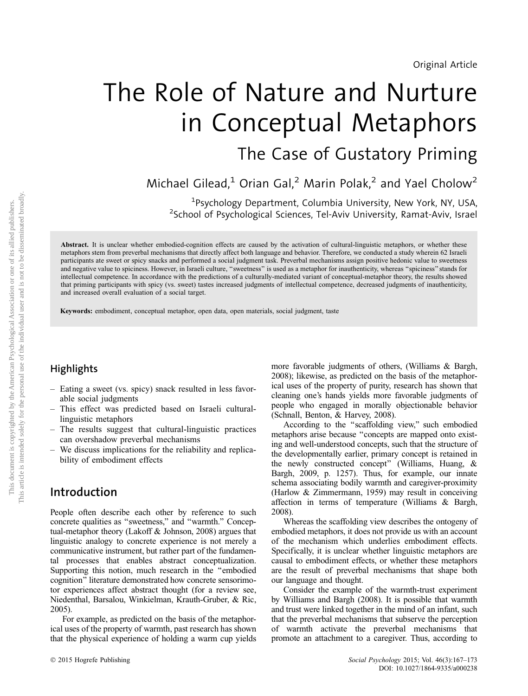# The Role of Nature and Nurture in Conceptual Metaphors The Case of Gustatory Priming

Michael Gilead,<sup>1</sup> Orian Gal,<sup>2</sup> Marin Polak,<sup>2</sup> and Yael Cholow<sup>2</sup>

1 Psychology Department, Columbia University, New York, NY, USA, <sup>2</sup>School of Psychological Sciences, Tel-Aviv University, Ramat-Aviv, Israel

Abstract. It is unclear whether embodied-cognition effects are caused by the activation of cultural-linguistic metaphors, or whether these metaphors stem from preverbal mechanisms that directly affect both language and behavior. Therefore, we conducted a study wherein 62 Israeli participants ate sweet or spicy snacks and performed a social judgment task. Preverbal mechanisms assign positive hedonic value to sweetness and negative value to spiciness. However, in Israeli culture, "sweetness" is used as a metaphor for inauthenticity, whereas "spiciness" stands for intellectual competence. In accordance with the predictions of a culturally-mediated variant of conceptual-metaphor theory, the results showed that priming participants with spicy (vs. sweet) tastes increased judgments of intellectual competence, decreased judgments of inauthenticity, and increased overall evaluation of a social target.

Keywords: embodiment, conceptual metaphor, open data, open materials, social judgment, taste

# **Highlights**

- Eating a sweet (vs. spicy) snack resulted in less favorable social judgments
- This effect was predicted based on Israeli culturallinguistic metaphors
- The results suggest that cultural-linguistic practices can overshadow preverbal mechanisms
- We discuss implications for the reliability and replicability of embodiment effects

# Introduction

People often describe each other by reference to such concrete qualities as ''sweetness,'' and ''warmth.'' Conceptual-metaphor theory (Lakoff & Johnson, 2008) argues that linguistic analogy to concrete experience is not merely a communicative instrument, but rather part of the fundamental processes that enables abstract conceptualization. Supporting this notion, much research in the ''embodied cognition'' literature demonstrated how concrete sensorimotor experiences affect abstract thought (for a review see, Niedenthal, Barsalou, Winkielman, Krauth-Gruber, & Ric, 2005).

For example, as predicted on the basis of the metaphorical uses of the property of warmth, past research has shown that the physical experience of holding a warm cup yields more favorable judgments of others, (Williams & Bargh, 2008); likewise, as predicted on the basis of the metaphorical uses of the property of purity, research has shown that cleaning one's hands yields more favorable judgments of people who engaged in morally objectionable behavior (Schnall, Benton, & Harvey, 2008).

According to the ''scaffolding view,'' such embodied metaphors arise because ''concepts are mapped onto existing and well-understood concepts, such that the structure of the developmentally earlier, primary concept is retained in the newly constructed concept'' (Williams, Huang, & Bargh, 2009, p. 1257). Thus, for example, our innate schema associating bodily warmth and caregiver-proximity (Harlow & Zimmermann, 1959) may result in conceiving affection in terms of temperature (Williams & Bargh, 2008).

Whereas the scaffolding view describes the ontogeny of embodied metaphors, it does not provide us with an account of the mechanism which underlies embodiment effects. Specifically, it is unclear whether linguistic metaphors are causal to embodiment effects, or whether these metaphors are the result of preverbal mechanisms that shape both our language and thought.

Consider the example of the warmth-trust experiment by Williams and Bargh (2008). It is possible that warmth and trust were linked together in the mind of an infant, such that the preverbal mechanisms that subserve the perception of warmth activate the preverbal mechanisms that promote an attachment to a caregiver. Thus, according to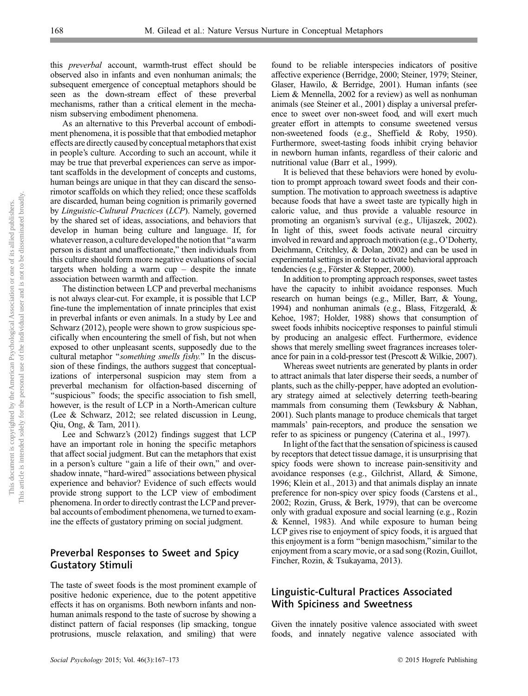this preverbal account, warmth-trust effect should be observed also in infants and even nonhuman animals; the subsequent emergence of conceptual metaphors should be seen as the down-stream effect of these preverbal mechanisms, rather than a critical element in the mechanism subserving embodiment phenomena.

As an alternative to this Preverbal account of embodiment phenomena, it is possible that that embodied metaphor effects are directly caused by conceptual metaphors that exist in people's culture. According to such an account, while it may be true that preverbal experiences can serve as important scaffolds in the development of concepts and customs, human beings are unique in that they can discard the sensorimotor scaffolds on which they relied; once these scaffolds are discarded, human being cognition is primarily governed by Linguistic-Cultural Practices (LCP). Namely, governed by the shared set of ideas, associations, and behaviors that develop in human being culture and language. If, for whatever reason, a culture developed the notion that "a warm person is distant and unaffectionate,'' then individuals from this culture should form more negative evaluations of social targets when holding a warm  $cup -$  despite the innate association between warmth and affection.

The distinction between LCP and preverbal mechanisms is not always clear-cut. For example, it is possible that LCP fine-tune the implementation of innate principles that exist in preverbal infants or even animals. In a study by Lee and Schwarz (2012), people were shown to grow suspicious specifically when encountering the smell of fish, but not when exposed to other unpleasant scents, supposedly due to the cultural metaphor ''something smells fishy.'' In the discussion of these findings, the authors suggest that conceptualizations of interpersonal suspicion may stem from a preverbal mechanism for olfaction-based discerning of "suspicious" foods; the specific association to fish smell, however, is the result of LCP in a North-American culture (Lee & Schwarz, 2012; see related discussion in Leung, Qiu, Ong, & Tam, 2011).

Lee and Schwarz's (2012) findings suggest that LCP have an important role in honing the specific metaphors that affect social judgment. But can the metaphors that exist in a person's culture "gain a life of their own," and overshadow innate, ''hard-wired'' associations between physical experience and behavior? Evidence of such effects would provide strong support to the LCP view of embodiment phenomena. In order to directly contrast the LCP and preverbal accounts of embodiment phenomena, we turned to examine the effects of gustatory priming on social judgment.

## Preverbal Responses to Sweet and Spicy Gustatory Stimuli

The taste of sweet foods is the most prominent example of positive hedonic experience, due to the potent appetitive effects it has on organisms. Both newborn infants and nonhuman animals respond to the taste of sucrose by showing a distinct pattern of facial responses (lip smacking, tongue protrusions, muscle relaxation, and smiling) that were

found to be reliable interspecies indicators of positive affective experience (Berridge, 2000; Steiner, 1979; Steiner, Glaser, Hawilo, & Berridge, 2001). Human infants (see Liem & Mennella, 2002 for a review) as well as nonhuman animals (see Steiner et al., 2001) display a universal preference to sweet over non-sweet food, and will exert much greater effort in attempts to consume sweetened versus non-sweetened foods (e.g., Sheffield & Roby, 1950). Furthermore, sweet-tasting foods inhibit crying behavior in newborn human infants, regardless of their caloric and nutritional value (Barr et al., 1999).

It is believed that these behaviors were honed by evolution to prompt approach toward sweet foods and their consumption. The motivation to approach sweetness is adaptive because foods that have a sweet taste are typically high in caloric value, and thus provide a valuable resource in promoting an organism's survival (e.g., Ulijaszek, 2002). In light of this, sweet foods activate neural circuitry involved in reward and approach motivation (e.g., O'Doherty, Deichmann, Critchley, & Dolan, 2002) and can be used in experimental settings in order to activate behavioral approach tendencies (e.g., Förster & Stepper, 2000).

In addition to prompting approach responses, sweet tastes have the capacity to inhibit avoidance responses. Much research on human beings (e.g., Miller, Barr, & Young, 1994) and nonhuman animals (e.g., Blass, Fitzgerald, & Kehoe, 1987; Holder, 1988) shows that consumption of sweet foods inhibits nociceptive responses to painful stimuli by producing an analgesic effect. Furthermore, evidence shows that merely smelling sweet fragrances increases tolerance for pain in a cold-pressor test (Prescott & Wilkie, 2007).

Whereas sweet nutrients are generated by plants in order to attract animals that later disperse their seeds, a number of plants, such as the chilly-pepper, have adopted an evolutionary strategy aimed at selectively deterring teeth-bearing mammals from consuming them (Tewksbury & Nabhan, 2001). Such plants manage to produce chemicals that target mammals' pain-receptors, and produce the sensation we refer to as spiciness or pungency (Caterina et al., 1997).

In light of the fact that the sensation of spiciness is caused by receptors that detect tissue damage, it is unsurprising that spicy foods were shown to increase pain-sensitivity and avoidance responses (e.g., Gilchrist, Allard, & Simone, 1996; Klein et al., 2013) and that animals display an innate preference for non-spicy over spicy foods (Carstens et al., 2002; Rozin, Gruss, & Berk, 1979), that can be overcome only with gradual exposure and social learning (e.g., Rozin & Kennel, 1983). And while exposure to human being LCP gives rise to enjoyment of spicy foods, it is argued that this enjoyment is a form ''benign masochism,''similar to the enjoyment from a scary movie, or a sad song (Rozin, Guillot, Fincher, Rozin, & Tsukayama, 2013).

## Linguistic-Cultural Practices Associated With Spiciness and Sweetness

Given the innately positive valence associated with sweet foods, and innately negative valence associated with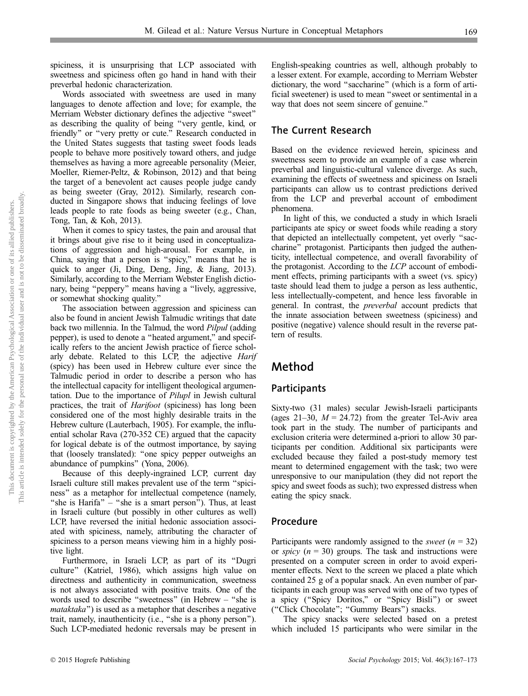spiciness, it is unsurprising that LCP associated with sweetness and spiciness often go hand in hand with their preverbal hedonic characterization.

Words associated with sweetness are used in many languages to denote affection and love; for example, the Merriam Webster dictionary defines the adjective ''sweet'' as describing the quality of being ''very gentle, kind, or friendly" or "very pretty or cute." Research conducted in the United States suggests that tasting sweet foods leads people to behave more positively toward others, and judge themselves as having a more agreeable personality (Meier, Moeller, Riemer-Peltz, & Robinson, 2012) and that being the target of a benevolent act causes people judge candy as being sweeter (Gray, 2012). Similarly, research conducted in Singapore shows that inducing feelings of love leads people to rate foods as being sweeter (e.g., Chan, Tong, Tan, & Koh, 2013).

When it comes to spicy tastes, the pain and arousal that it brings about give rise to it being used in conceptualizations of aggression and high-arousal. For example, in China, saying that a person is ''spicy,'' means that he is quick to anger (Ji, Ding, Deng, Jing, & Jiang, 2013). Similarly, according to the Merriam Webster English dictionary, being ''peppery'' means having a ''lively, aggressive, or somewhat shocking quality.''

The association between aggression and spiciness can also be found in ancient Jewish Talmudic writings that date back two millennia. In the Talmud, the word Pilpul (adding pepper), is used to denote a ''heated argument,'' and specifically refers to the ancient Jewish practice of fierce scholarly debate. Related to this LCP, the adjective Harif (spicy) has been used in Hebrew culture ever since the Talmudic period in order to describe a person who has the intellectual capacity for intelligent theological argumentation. Due to the importance of Pilupl in Jewish cultural practices, the trait of Harifoot (spiciness) has long been considered one of the most highly desirable traits in the Hebrew culture (Lauterbach, 1905). For example, the influential scholar Rava (270-352 CE) argued that the capacity for logical debate is of the outmost importance, by saying that (loosely translated): ''one spicy pepper outweighs an abundance of pumpkins'' (Yona, 2006).

Because of this deeply-ingrained LCP, current day Israeli culture still makes prevalent use of the term ''spiciness'' as a metaphor for intellectual competence (namely, "she is Harifa" – "she is a smart person"). Thus, at least in Israeli culture (but possibly in other cultures as well) LCP, have reversed the initial hedonic association associated with spiciness, namely, attributing the character of spiciness to a person means viewing him in a highly positive light.

Furthermore, in Israeli LCP, as part of its ''Dugri culture'' (Katriel, 1986), which assigns high value on directness and authenticity in communication, sweetness is not always associated with positive traits. One of the words used to describe ''sweetness'' (in Hebrew – ''she is mataktaka'') is used as a metaphor that describes a negative trait, namely, inauthenticity (i.e., ''she is a phony person''). Such LCP-mediated hedonic reversals may be present in English-speaking countries as well, although probably to a lesser extent. For example, according to Merriam Webster dictionary, the word ''saccharine'' (which is a form of artificial sweetener) is used to mean ''sweet or sentimental in a way that does not seem sincere of genuine.''

#### The Current Research

Based on the evidence reviewed herein, spiciness and sweetness seem to provide an example of a case wherein preverbal and linguistic-cultural valence diverge. As such, examining the effects of sweetness and spiciness on Israeli participants can allow us to contrast predictions derived from the LCP and preverbal account of embodiment phenomena.

In light of this, we conducted a study in which Israeli participants ate spicy or sweet foods while reading a story that depicted an intellectually competent, yet overly ''saccharine'' protagonist. Participants then judged the authenticity, intellectual competence, and overall favorability of the protagonist. According to the LCP account of embodiment effects, priming participants with a sweet (vs. spicy) taste should lead them to judge a person as less authentic, less intellectually-competent, and hence less favorable in general. In contrast, the preverbal account predicts that the innate association between sweetness (spiciness) and positive (negative) valence should result in the reverse pattern of results.

# Method

#### **Participants**

Sixty-two (31 males) secular Jewish-Israeli participants (ages 21–30,  $M = 24.72$ ) from the greater Tel-Aviv area took part in the study. The number of participants and exclusion criteria were determined a-priori to allow 30 participants per condition. Additional six participants were excluded because they failed a post-study memory test meant to determined engagement with the task; two were unresponsive to our manipulation (they did not report the spicy and sweet foods as such); two expressed distress when eating the spicy snack.

#### Procedure

Participants were randomly assigned to the *sweet*  $(n = 32)$ or *spicy*  $(n = 30)$  groups. The task and instructions were presented on a computer screen in order to avoid experimenter effects. Next to the screen we placed a plate which contained 25 g of a popular snack. An even number of participants in each group was served with one of two types of a spicy (''Spicy Doritos,'' or ''Spicy Bisli'') or sweet (''Click Chocolate''; ''Gummy Bears'') snacks.

The spicy snacks were selected based on a pretest which included 15 participants who were similar in the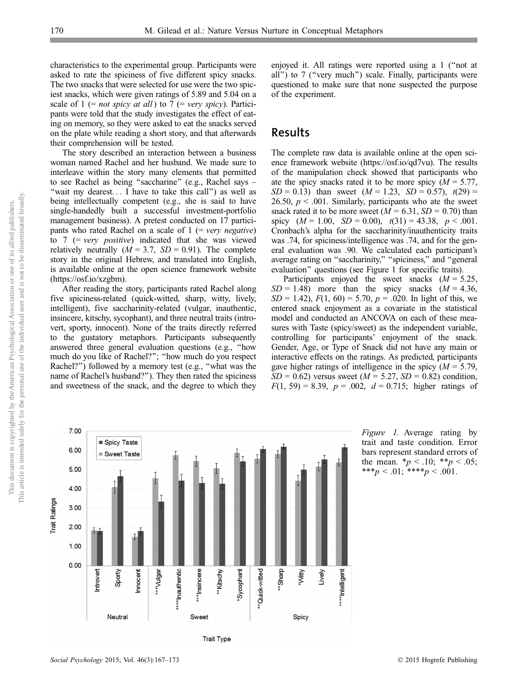characteristics to the experimental group. Participants were asked to rate the spiciness of five different spicy snacks. The two snacks that were selected for use were the two spiciest snacks, which were given ratings of 5.89 and 5.04 on a scale of  $1$  (= *not spicy at all*) to  $7$  (= *very spicy*). Participants were told that the study investigates the effect of eating on memory, so they were asked to eat the snacks served on the plate while reading a short story, and that afterwards their comprehension will be tested.

The story described an interaction between a business woman named Rachel and her husband. We made sure to interleave within the story many elements that permitted to see Rachel as being ''saccharine'' (e.g., Rachel says – "wait my dearest... I have to take this call") as well as being intellectually competent (e.g., she is said to have single-handedly built a successful investment-portfolio management business). A pretest conducted on 17 participants who rated Rachel on a scale of  $1$  (= very negative) to  $7$  (= very positive) indicated that she was viewed relatively neutrally  $(M = 3.7, SD = 0.91)$ . The complete story in the original Hebrew, and translated into English, is available online at the open science framework website (https://osf.io/xzgbm).

After reading the story, participants rated Rachel along five spiciness-related (quick-witted, sharp, witty, lively, intelligent), five saccharinity-related (vulgar, inauthentic, insincere, kitschy, sycophant), and three neutral traits (introvert, sporty, innocent). None of the traits directly referred to the gustatory metaphors. Participants subsequently answered three general evaluation questions (e.g., ''how much do you like of Rachel?''; ''how much do you respect Rachel?'') followed by a memory test (e.g., ''what was the name of Rachel's husband?''). They then rated the spiciness and sweetness of the snack, and the degree to which they enjoyed it. All ratings were reported using a 1 (''not at all'') to 7 (''very much'') scale. Finally, participants were questioned to make sure that none suspected the purpose of the experiment.

### Results

The complete raw data is available online at the open science framework website (https://osf.io/qd7vu). The results of the manipulation check showed that participants who ate the spicy snacks rated it to be more spicy  $(M = 5.77)$ ,  $SD = 0.13$ ) than sweet  $(M = 1.23, SD = 0.57)$ ,  $t(29) =$ 26.50,  $p < .001$ . Similarly, participants who ate the sweet snack rated it to be more sweet  $(M = 6.31, SD = 0.70)$  than spicy  $(M = 1.00, SD = 0.00), t(31) = 43.38, p < .001$ . Cronbach's alpha for the saccharinity/inauthenticity traits was .74, for spiciness/intelligence was .74, and for the general evaluation was .90. We calculated each participant's average rating on "saccharinity," "spiciness," and "general evaluation'' questions (see Figure 1 for specific traits).

Participants enjoyed the sweet snacks  $(M = 5.25,$  $SD = 1.48$ ) more than the spicy snacks  $(M = 4.36,$  $SD = 1.42$ ,  $F(1, 60) = 5.70$ ,  $p = .020$ . In light of this, we entered snack enjoyment as a covariate in the statistical model and conducted an ANCOVA on each of these measures with Taste (spicy/sweet) as the independent variable, controlling for participants' enjoyment of the snack. Gender, Age, or Type of Snack did not have any main or interactive effects on the ratings. As predicted, participants gave higher ratings of intelligence in the spicy  $(M = 5.79)$ ,  $SD = 0.62$ ) versus sweet ( $M = 5.27$ ,  $SD = 0.82$ ) condition,  $F(1, 59) = 8.39$ ,  $p = .002$ ,  $d = 0.715$ ; higher ratings of



Figure 1. Average rating by trait and taste condition. Error bars represent standard errors of the mean.  $*_{p}$  < .10;  $*_{p}$  < .05; \*\*\* $p < .01$ ; \*\*\*\* $p < .001$ .

This article is intended solely for the personal use of the individual user and is not to be disseminated broadly.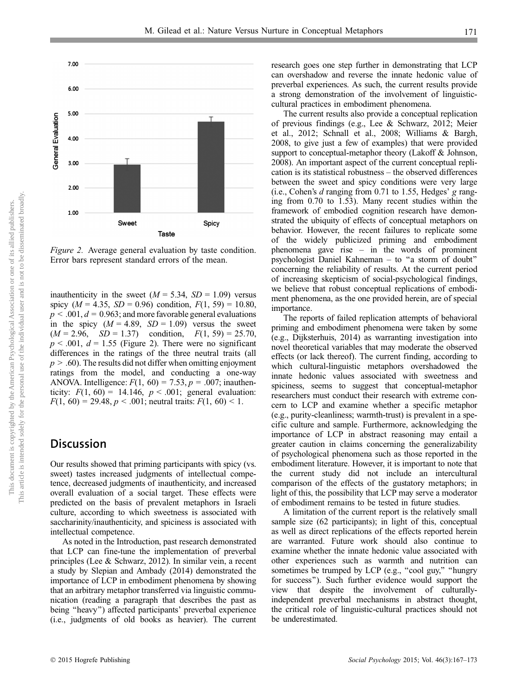

Figure 2. Average general evaluation by taste condition. Error bars represent standard errors of the mean.

inauthenticity in the sweet ( $M = 5.34$ ,  $SD = 1.09$ ) versus spicy ( $M = 4.35$ ,  $SD = 0.96$ ) condition,  $F(1, 59) = 10.80$ ,  $p < .001, d = 0.963$ ; and more favorable general evaluations in the spicy  $(M = 4.89, SD = 1.09)$  versus the sweet  $(M = 2.96, \quad SD = 1.37)$  condition,  $F(1, 59) = 25.70$ ,  $p < .001$ ,  $d = 1.55$  (Figure 2). There were no significant differences in the ratings of the three neutral traits (all  $p > .60$ ). The results did not differ when omitting enjoyment ratings from the model, and conducting a one-way ANOVA. Intelligence:  $F(1, 60) = 7.53$ ,  $p = .007$ ; inauthenticity:  $F(1, 60) = 14.146$ ,  $p < .001$ ; general evaluation:  $F(1, 60) = 29.48, p < .001$ ; neutral traits:  $F(1, 60) < 1$ .

## **Discussion**

Our results showed that priming participants with spicy (vs. sweet) tastes increased judgments of intellectual competence, decreased judgments of inauthenticity, and increased overall evaluation of a social target. These effects were predicted on the basis of prevalent metaphors in Israeli culture, according to which sweetness is associated with saccharinity/inauthenticity, and spiciness is associated with intellectual competence.

As noted in the Introduction, past research demonstrated that LCP can fine-tune the implementation of preverbal principles (Lee & Schwarz, 2012). In similar vein, a recent a study by Slepian and Ambady (2014) demonstrated the importance of LCP in embodiment phenomena by showing that an arbitrary metaphor transferred via linguistic communication (reading a paragraph that describes the past as being ''heavy'') affected participants' preverbal experience (i.e., judgments of old books as heavier). The current research goes one step further in demonstrating that LCP can overshadow and reverse the innate hedonic value of preverbal experiences. As such, the current results provide a strong demonstration of the involvement of linguisticcultural practices in embodiment phenomena.

The current results also provide a conceptual replication of previous findings (e.g., Lee & Schwarz, 2012; Meier et al., 2012; Schnall et al., 2008; Williams & Bargh, 2008, to give just a few of examples) that were provided support to conceptual-metaphor theory (Lakoff & Johnson, 2008). An important aspect of the current conceptual replication is its statistical robustness – the observed differences between the sweet and spicy conditions were very large (i.e., Cohen's d ranging from 0.71 to 1.55, Hedges' g ranging from 0.70 to 1.53). Many recent studies within the framework of embodied cognition research have demonstrated the ubiquity of effects of conceptual metaphors on behavior. However, the recent failures to replicate some of the widely publicized priming and embodiment phenomena gave rise – in the words of prominent psychologist Daniel Kahneman – to ''a storm of doubt'' concerning the reliability of results. At the current period of increasing skepticism of social-psychological findings, we believe that robust conceptual replications of embodiment phenomena, as the one provided herein, are of special importance.

The reports of failed replication attempts of behavioral priming and embodiment phenomena were taken by some (e.g., Dijksterhuis, 2014) as warranting investigation into novel theoretical variables that may moderate the observed effects (or lack thereof). The current finding, according to which cultural-linguistic metaphors overshadowed the innate hedonic values associated with sweetness and spiciness, seems to suggest that conceptual-metaphor researchers must conduct their research with extreme concern to LCP and examine whether a specific metaphor (e.g., purity-cleanliness; warmth-trust) is prevalent in a specific culture and sample. Furthermore, acknowledging the importance of LCP in abstract reasoning may entail a greater caution in claims concerning the generalizability of psychological phenomena such as those reported in the embodiment literature. However, it is important to note that the current study did not include an intercultural comparison of the effects of the gustatory metaphors; in light of this, the possibility that LCP may serve a moderator of embodiment remains to be tested in future studies.

A limitation of the current report is the relatively small sample size (62 participants); in light of this, conceptual as well as direct replications of the effects reported herein are warranted. Future work should also continue to examine whether the innate hedonic value associated with other experiences such as warmth and nutrition can sometimes be trumped by LCP (e.g., "cool guy," "hungry for success''). Such further evidence would support the view that despite the involvement of culturallyindependent preverbal mechanisms in abstract thought, the critical role of linguistic-cultural practices should not be underestimated.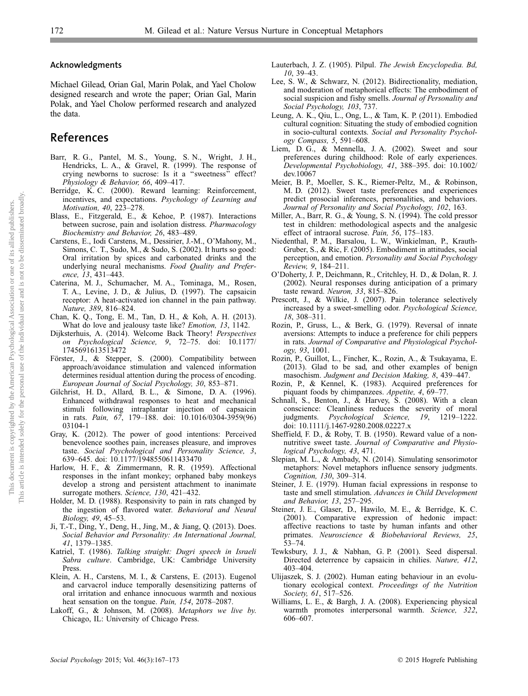#### Acknowledgments

Michael Gilead, Orian Gal, Marin Polak, and Yael Cholow designed research and wrote the paper; Orian Gal, Marin Polak, and Yael Cholow performed research and analyzed the data.

# References

- Barr, R. G., Pantel, M. S., Young, S. N., Wright, J. H., Hendricks, L. A., & Gravel, R. (1999). The response of crying newborns to sucrose: Is it a ''sweetness'' effect? Physiology & Behavior, 66, 409-417.
- Berridge, K. C. (2000). Reward learning: Reinforcement, incentives, and expectations. Psychology of Learning and Motivation, 40, 223–278.
- Blass, E., Fitzgerald, E., & Kehoe, P. (1987). Interactions between sucrose, pain and isolation distress. Pharmacology Biochemistry and Behavior, 26, 483–489.
- Carstens, E., Iodi Carstens, M., Dessirier, J.-M., O'Mahony, M., Simons, C. T., Sudo, M., & Sudo, S. (2002). It hurts so good: Oral irritation by spices and carbonated drinks and the underlying neural mechanisms. Food Quality and Preference, 13, 431–443.
- Caterina, M. J., Schumacher, M. A., Tominaga, M., Rosen, T. A., Levine, J. D., & Julius, D. (1997). The capsaicin receptor: A heat-activated ion channel in the pain pathway. Nature, 389, 816–824.
- Chan, K. Q., Tong, E. M., Tan, D. H., & Koh, A. H. (2013). What do love and jealousy taste like? Emotion, 13, 1142.
- Dijksterhuis, A. (2014). Welcome Back Theory! Perspectives on Psychological Science, 9, 72–75. doi: 10.1177/ 1745691613513472
- Förster, J., & Stepper, S. (2000). Compatibility between approach/avoidance stimulation and valenced information determines residual attention during the process of encoding. European Journal of Social Psychology, 30, 853–871.
- Gilchrist, H. D., Allard, B. L., & Simone, D. A. (1996). Enhanced withdrawal responses to heat and mechanical stimuli following intraplantar injection of capsaicin in rats. Pain, 67, 179–188. doi: 10.1016/0304-3959(96) 03104-1
- Gray, K. (2012). The power of good intentions: Perceived benevolence soothes pain, increases pleasure, and improves taste. Social Psychological and Personality Science, 3, 639–645. doi: 10.1177/1948550611433470
- Harlow, H. F., & Zimmermann, R. R. (1959). Affectional responses in the infant monkey; orphaned baby monkeys develop a strong and persistent attachment to inanimate surrogate mothers. Science, 130, 421-432.
- Holder, M. D. (1988). Responsivity to pain in rats changed by the ingestion of flavored water. Behavioral and Neural Biology, 49, 45–53.
- Ji, T.-T., Ding, Y., Deng, H., Jing, M., & Jiang, Q. (2013). Does. Social Behavior and Personality: An International Journal, 41, 1379–1385.
- Katriel, T. (1986). Talking straight: Dugri speech in Israeli Sabra culture. Cambridge, UK: Cambridge University Press.
- Klein, A. H., Carstens, M. I., & Carstens, E. (2013). Eugenol and carvacrol induce temporally desensitizing patterns of oral irritation and enhance innocuous warmth and noxious heat sensation on the tongue. Pain, 154, 2078–2087.
- Lakoff, G., & Johnson, M. (2008). Metaphors we live by. Chicago, IL: University of Chicago Press.
- Lauterbach, J. Z. (1905). Pilpul. The Jewish Encyclopedia. Bd, 10, 39–43.
- Lee, S. W., & Schwarz, N. (2012). Bidirectionality, mediation, and moderation of metaphorical effects: The embodiment of social suspicion and fishy smells. Journal of Personality and Social Psychology, 103, 737.
- Leung, A. K., Qiu, L., Ong, L., & Tam, K. P. (2011). Embodied cultural cognition: Situating the study of embodied cognition in socio-cultural contexts. Social and Personality Psychology Compass, 5, 591–608.
- Liem, D. G., & Mennella, J. A. (2002). Sweet and sour preferences during childhood: Role of early experiences. Developmental Psychobiology, 41, 388–395. doi: 10.1002/ dev.10067
- Meier, B. P., Moeller, S. K., Riemer-Peltz, M., & Robinson, M. D. (2012). Sweet taste preferences and experiences predict prosocial inferences, personalities, and behaviors. Journal of Personality and Social Psychology, 102, 163.
- Miller, A., Barr, R. G., & Young, S. N. (1994). The cold pressor test in children: methodological aspects and the analgesic effect of intraoral sucrose. Pain, 56, 175–183.
- Niedenthal, P. M., Barsalou, L. W., Winkielman, P., Krauth-Gruber, S., & Ric, F. (2005). Embodiment in attitudes, social perception, and emotion. Personality and Social Psychology Review, 9, 184–211.
- O'Doherty, J. P., Deichmann, R., Critchley, H. D., & Dolan, R. J. (2002). Neural responses during anticipation of a primary taste reward. Neuron, 33, 815–826.
- Prescott, J., & Wilkie, J. (2007). Pain tolerance selectively increased by a sweet-smelling odor. Psychological Science, 18, 308–311.
- Rozin, P., Gruss, L., & Berk, G. (1979). Reversal of innate aversions: Attempts to induce a preference for chili peppers in rats. Journal of Comparative and Physiological Psychology, 93, 1001.
- Rozin, P., Guillot, L., Fincher, K., Rozin, A., & Tsukayama, E. (2013). Glad to be sad, and other examples of benign masochism. Judgment and Decision Making, 8, 439–447.
- Rozin, P., & Kennel, K. (1983). Acquired preferences for piquant foods by chimpanzees. Appetite, 4, 69–77.
- Schnall, S., Benton, J., & Harvey, S. (2008). With a clean conscience: Cleanliness reduces the severity of moral judgments. *Psychological Science*, 19, 1219–1222. Psychological Science, doi: 10.1111/j.1467-9280.2008.02227.x
- Sheffield, F. D., & Roby, T. B. (1950). Reward value of a nonnutritive sweet taste. Journal of Comparative and Physiological Psychology, 43, 471.
- Slepian, M. L., & Ambady, N. (2014). Simulating sensorimotor metaphors: Novel metaphors influence sensory judgments. Cognition, 130, 309–314.
- Steiner, J. E. (1979). Human facial expressions in response to taste and smell stimulation. Advances in Child Development and Behavior, 13, 257–295.
- Steiner, J. E., Glaser, D., Hawilo, M. E., & Berridge, K. C. (2001). Comparative expression of hedonic impact: affective reactions to taste by human infants and other primates. Neuroscience & Biobehavioral Reviews, 25, 53–74.
- Tewksbury, J. J., & Nabhan, G. P. (2001). Seed dispersal. Directed deterrence by capsaicin in chilies. Nature, 412, 403–404.
- Ulijaszek, S. J. (2002). Human eating behaviour in an evolutionary ecological context. Proceedings of the Nutrition Society, 61, 517–526.
- Williams, L. E., & Bargh, J. A. (2008). Experiencing physical warmth promotes interpersonal warmth. Science, 322, 606–607.